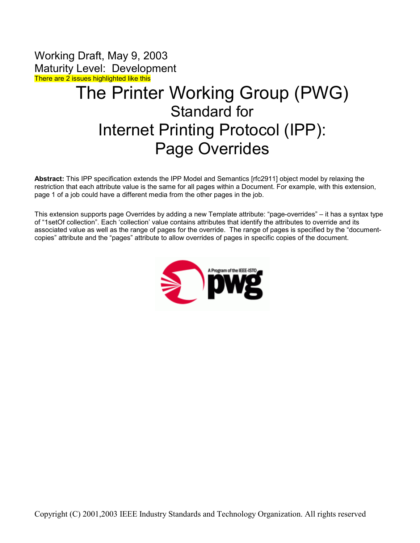Working Draft, May 9, 2003 Maturity Level: Development There are 2 issues highlighted like this

# The Printer Working Group (PWG) Standard for Internet Printing Protocol (IPP): Page Overrides

**Abstract:** This IPP specification extends the IPP Model and Semantics [rfc2911] object model by relaxing the restriction that each attribute value is the same for all pages within a Document. For example, with this extension, page 1 of a job could have a different media from the other pages in the job.

This extension supports page Overrides by adding a new Template attribute: "page-overrides" – it has a syntax type of "1setOf collection". Each 'collection' value contains attributes that identify the attributes to override and its associated value as well as the range of pages for the override. The range of pages is specified by the "documentcopies" attribute and the "pages" attribute to allow overrides of pages in specific copies of the document.

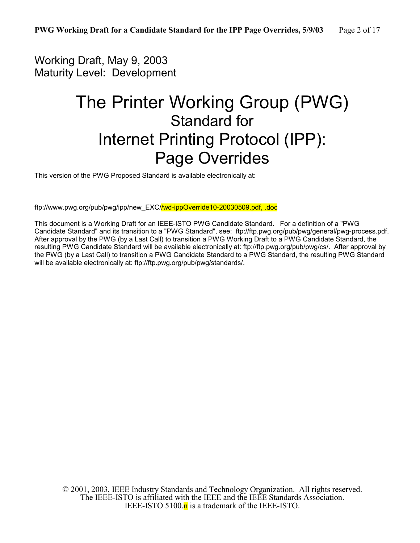# Working Draft, May 9, 2003 Maturity Level: Development

# The Printer Working Group (PWG) Standard for Internet Printing Protocol (IPP): Page Overrides

This version of the PWG Proposed Standard is available electronically at:

ftp://www.pwg.org/pub/pwg/ipp/new\_EXC//wd-ippOverride10-20030509.pdf, .doc

This document is a Working Draft for an IEEE-ISTO PWG Candidate Standard. For a definition of a "PWG Candidate Standard" and its transition to a "PWG Standard", see: [ftp://ftp.pwg.org/pub/pwg/general/pwg-process.pdf.](ftp://ftp.pwg.org/pub/pwg/general/pwg-process.pdf) After approval by the PWG (by a Last Call) to transition a PWG Working Draft to a PWG Candidate Standard, the resulting PWG Candidate Standard will be available electronically at: ftp://ftp.pwg.org/pub/pwg/cs/. After approval by the PWG (by a Last Call) to transition a PWG Candidate Standard to a PWG Standard, the resulting PWG Standard will be available electronically at: ftp://ftp.pwg.org/pub/pwg/standards/.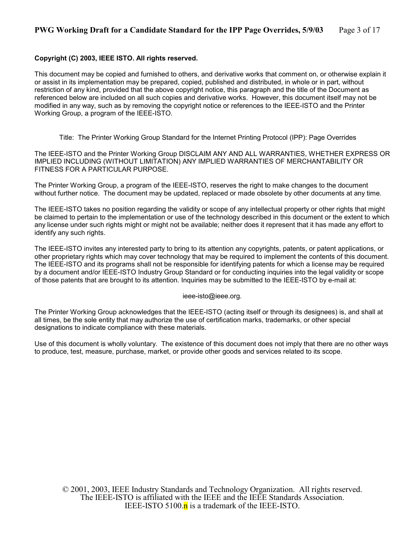### **Copyright (C) 2003, IEEE ISTO. All rights reserved.**

This document may be copied and furnished to others, and derivative works that comment on, or otherwise explain it or assist in its implementation may be prepared, copied, published and distributed, in whole or in part, without restriction of any kind, provided that the above copyright notice, this paragraph and the title of the Document as referenced below are included on all such copies and derivative works. However, this document itself may not be modified in any way, such as by removing the copyright notice or references to the IEEE-ISTO and the Printer Working Group, a program of the IEEE-ISTO.

Title: The Printer Working Group Standard for the Internet Printing Protocol (IPP): Page Overrides

The IEEE-ISTO and the Printer Working Group DISCLAIM ANY AND ALL WARRANTIES, WHETHER EXPRESS OR IMPLIED INCLUDING (WITHOUT LIMITATION) ANY IMPLIED WARRANTIES OF MERCHANTABILITY OR FITNESS FOR A PARTICULAR PURPOSE.

The Printer Working Group, a program of the IEEE-ISTO, reserves the right to make changes to the document without further notice. The document may be updated, replaced or made obsolete by other documents at any time.

The IEEE-ISTO takes no position regarding the validity or scope of any intellectual property or other rights that might be claimed to pertain to the implementation or use of the technology described in this document or the extent to which any license under such rights might or might not be available; neither does it represent that it has made any effort to identify any such rights.

The IEEE-ISTO invites any interested party to bring to its attention any copyrights, patents, or patent applications, or other proprietary rights which may cover technology that may be required to implement the contents of this document. The IEEE-ISTO and its programs shall not be responsible for identifying patents for which a license may be required by a document and/or IEEE-ISTO Industry Group Standard or for conducting inquiries into the legal validity or scope of those patents that are brought to its attention. Inquiries may be submitted to the IEEE-ISTO by e-mail at:

ieee-isto@ieee.org.

The Printer Working Group acknowledges that the IEEE-ISTO (acting itself or through its designees) is, and shall at all times, be the sole entity that may authorize the use of certification marks, trademarks, or other special designations to indicate compliance with these materials.

Use of this document is wholly voluntary. The existence of this document does not imply that there are no other ways to produce, test, measure, purchase, market, or provide other goods and services related to its scope.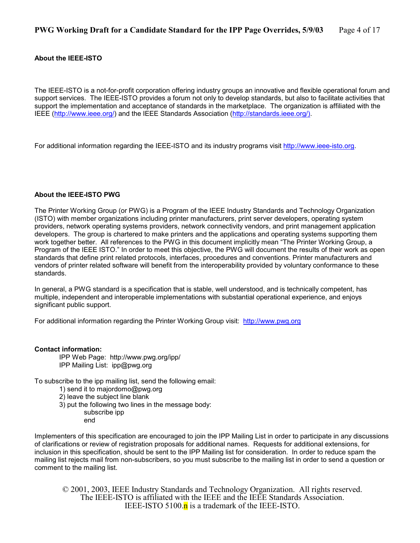### **About the IEEE-ISTO**

The IEEE-ISTO is a not-for-profit corporation offering industry groups an innovative and flexible operational forum and support services. The IEEE-ISTO provides a forum not only to develop standards, but also to facilitate activities that support the implementation and acceptance of standards in the marketplace. The organization is affiliated with the IEEE [\(http://www.ieee.org/\)](http://www.ieee.org/) and the IEEE Standards Association ([http://standards.ieee.org/\).](http://standards.ieee.org/))

For additional information regarding the IEEE-ISTO and its industry programs visit [http://www.ieee-isto.org.](http://www.ieee-isto.org/)

### **About the IEEE-ISTO PWG**

The Printer Working Group (or PWG) is a Program of the IEEE Industry Standards and Technology Organization (ISTO) with member organizations including printer manufacturers, print server developers, operating system providers, network operating systems providers, network connectivity vendors, and print management application developers. The group is chartered to make printers and the applications and operating systems supporting them work together better. All references to the PWG in this document implicitly mean "The Printer Working Group, a Program of the IEEE ISTO." In order to meet this objective, the PWG will document the results of their work as open standards that define print related protocols, interfaces, procedures and conventions. Printer manufacturers and vendors of printer related software will benefit from the interoperability provided by voluntary conformance to these standards.

In general, a PWG standard is a specification that is stable, well understood, and is technically competent, has multiple, independent and interoperable implementations with substantial operational experience, and enjoys significant public support.

For additional information regarding the Printer Working Group visit: http://www.pwg.org

### **Contact information:**

IPP Web Page: http://www.pwg.org/ipp/ IPP Mailing List: ipp@pwg.org

To subscribe to the ipp mailing list, send the following email:

- 1) send it to majordomo@pwg.org
- 2) leave the subject line blank
- 3) put the following two lines in the message body:
	- subscribe ipp
	- end

Implementers of this specification are encouraged to join the IPP Mailing List in order to participate in any discussions of clarifications or review of registration proposals for additional names. Requests for additional extensions, for inclusion in this specification, should be sent to the IPP Mailing list for consideration. In order to reduce spam the mailing list rejects mail from non-subscribers, so you must subscribe to the mailing list in order to send a question or comment to the mailing list.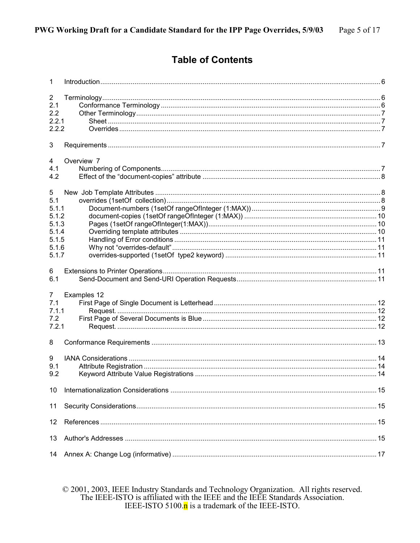### **Table of Contents**

| $\mathbf{1}$                                                            |             |  |
|-------------------------------------------------------------------------|-------------|--|
| $\overline{\mathbf{c}}$<br>2.1<br>2.2<br>2.2.1<br>2.2.2                 |             |  |
| 3                                                                       |             |  |
| 4<br>4.1<br>4.2                                                         | Overview 7  |  |
| 5<br>5.1<br>5.1.1<br>5.1.2<br>5.1.3<br>5.1.4<br>5.1.5<br>5.1.6<br>5.1.7 |             |  |
| 6<br>6.1                                                                |             |  |
| $\overline{7}$<br>7.1<br>7.1.1<br>7.2<br>7.2.1                          | Examples 12 |  |
| 8                                                                       |             |  |
| 9<br>9.1<br>9.2                                                         |             |  |
| 10                                                                      |             |  |
| 11                                                                      |             |  |
| 12                                                                      |             |  |
| 13                                                                      |             |  |
| 14                                                                      |             |  |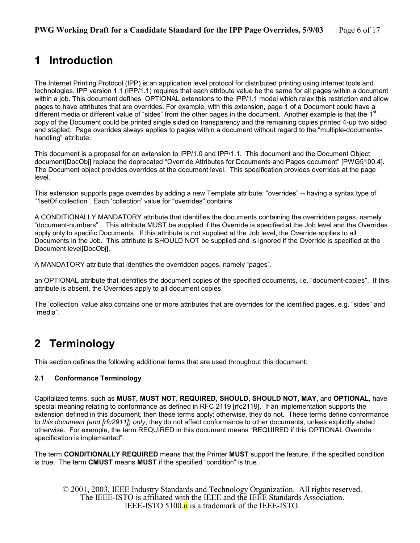# <span id="page-5-0"></span>**1 Introduction**

The Internet Printing Protocol (IPP) is an application level protocol for distributed printing using Internet tools and technologies. IPP version 1.1 (IPP/1.1) requires that each attribute value be the same for all pages within a document within a job. This document defines OPTIONAL extensions to the IPP/1.1 model which relax this restriction and allow pages to have attributes that are overrides. For example, with this extension, page 1 of a Document could have a different media or different value of "sides" from the other pages in the document. Another example is that the 1<sup>st</sup> copy of the Document could be printed single sided on transparency and the remaining copies printed 4-up two sided and stapled. Page overrides always applies to pages within a document without regard to the "multiple-documentshandling" attribute.

This document is a proposal for an extension to IPP/1.0 and IPP/1.1. This document and the Document Object document[DocObj] replace the deprecated "Override Attributes for Documents and Pages document" [PWG5100.4]. The Document object provides overrides at the document level. This specification provides overrides at the page level.

This extension supports page overrides by adding a new Template attribute: "overrides" -- having a syntax type of "1setOf collection". Each 'collection' value for "overrides" contains

A CONDITIONALLY MANDATORY attribute that identifies the documents containing the overridden pages, namely "document-numbers". This attribute MUST be supplied if the Override is specified at the Job level and the Overrides apply only to specific Documents. If this attribute is not supplied at the Job level, the Override applies to all Documents in the Job. This attribute is SHOULD NOT be supplied and is ignored if the Override is specified at the Document level[DocObj].

A MANDATORY attribute that identifies the overridden pages, namely "pages".

an OPTIONAL attribute that identifies the document copies of the specified documents, i.e. "document-copies". If this attribute is absent, the Overrides apply to all document copies.

The 'collection' value also contains one or more attributes that are overrides for the identified pages, e.g. "sides" and "media".

# **2 Terminology**

This section defines the following additional terms that are used throughout this document:

### **2.1 Conformance Terminology**

Capitalized terms, such as **MUST, MUST NOT, REQUIRED, SHOULD, SHOULD NOT, MAY,** and **OPTIONAL**, have special meaning relating to conformance as defined in RFC 2119 [rfc2119]. If an implementation supports the extension defined in this document, then these terms apply; otherwise, they do not. These terms define conformance to *this document (and [rfc2911]) only*; they do not affect conformance to other documents, unless explicitly stated otherwise. For example, the term REQUIRED in this document means "REQUIRED if this OPTIONAL Override specification is implemented"*.* 

The term **CONDITIONALLY REQUIRED** means that the Printer **MUST** support the feature, if the specified condition is true. The term **CMUST** means **MUST** if the specified "condition" is true.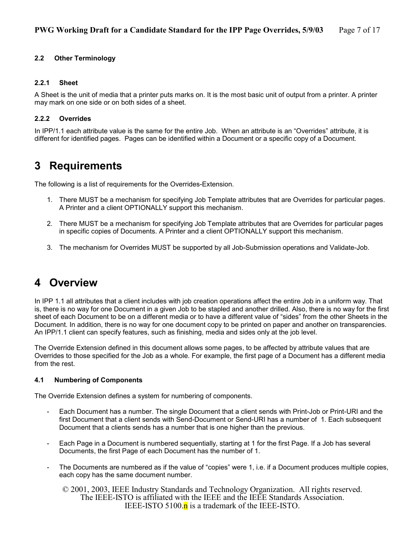### <span id="page-6-0"></span>**2.2 Other Terminology**

### **2.2.1 Sheet**

A Sheet is the unit of media that a printer puts marks on. It is the most basic unit of output from a printer. A printer may mark on one side or on both sides of a sheet.

### **2.2.2 Overrides**

In IPP/1.1 each attribute value is the same for the entire Job. When an attribute is an "Overrides" attribute, it is different for identified pages. Pages can be identified within a Document or a specific copy of a Document.

# **3 Requirements**

The following is a list of requirements for the Overrides-Extension.

- 1. There MUST be a mechanism for specifying Job Template attributes that are Overrides for particular pages. A Printer and a client OPTIONALLY support this mechanism.
- 2. There MUST be a mechanism for specifying Job Template attributes that are Overrides for particular pages in specific copies of Documents. A Printer and a client OPTIONALLY support this mechanism.
- 3. The mechanism for Overrides MUST be supported by all Job-Submission operations and Validate-Job.

## **4 Overview**

In IPP 1.1 all attributes that a client includes with job creation operations affect the entire Job in a uniform way. That is, there is no way for one Document in a given Job to be stapled and another drilled. Also, there is no way for the first sheet of each Document to be on a different media or to have a different value of "sides" from the other Sheets in the Document. In addition, there is no way for one document copy to be printed on paper and another on transparencies. An IPP/1.1 client can specify features, such as finishing, media and sides only at the job level.

The Override Extension defined in this document allows some pages, to be affected by attribute values that are Overrides to those specified for the Job as a whole. For example, the first page of a Document has a different media from the rest.

### **4.1 Numbering of Components**

The Override Extension defines a system for numbering of components.

- Each Document has a number. The single Document that a client sends with Print-Job or Print-URI and the first Document that a client sends with Send-Document or Send-URI has a number of 1. Each subsequent Document that a clients sends has a number that is one higher than the previous.
- Each Page in a Document is numbered sequentially, starting at 1 for the first Page. If a Job has several Documents, the first Page of each Document has the number of 1.
- The Documents are numbered as if the value of "copies" were 1, i.e. if a Document produces multiple copies, each copy has the same document number.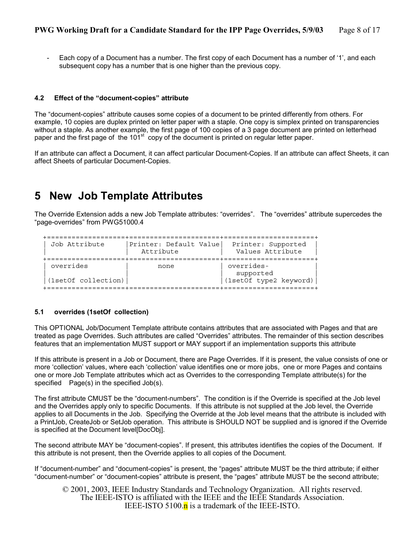<span id="page-7-0"></span>Each copy of a Document has a number. The first copy of each Document has a number of '1', and each subsequent copy has a number that is one higher than the previous copy.

### **4.2 Effect of the "document-copies" attribute**

The "document-copies" attribute causes some copies of a document to be printed differently from others. For example, 10 copies are duplex printed on letter paper with a staple. One copy is simplex printed on transparencies without a staple. As another example, the first page of 100 copies of a 3 page document are printed on letterhead paper and the first page of the 101<sup>st</sup> copy of the document is printed on regular letter paper.

If an attribute can affect a Document, it can affect particular Document-Copies. If an attribute can affect Sheets, it can affect Sheets of particular Document-Copies.

### **5 New Job Template Attributes**

The Override Extension adds a new Job Template attributes: "overrides". The "overrides" attribute supercedes the "page-overrides" from PWG51000.4

| Job Attribute                    | Printer: Default Value<br>Attribute | Printer: Supported<br>Values Attribute            |
|----------------------------------|-------------------------------------|---------------------------------------------------|
| overrides<br>(1setOf collection) | none                                | overrides-<br>supported<br>(1setOf type2 keyword) |

#### **5.1 overrides (1setOf collection)**

This OPTIONAL Job/Document Template attribute contains attributes that are associated with Pages and that are treated as page Overrides. Such attributes are called "Overrides" attributes. The remainder of this section describes features that an implementation MUST support or MAY support if an implementation supports this attribute

If this attribute is present in a Job or Document, there are Page Overrides. If it is present, the value consists of one or more 'collection' values, where each 'collection' value identifies one or more jobs, one or more Pages and contains one or more Job Template attributes which act as Overrides to the corresponding Template attribute(s) for the specified Page(s) in the specified Job(s).

The first attribute CMUST be the "document-numbers". The condition is if the Override is specified at the Job level and the Overrides apply only to specific Documents. If this attribute is not supplied at the Job level, the Override applies to all Documents in the Job. Specifying the Override at the Job level means that the attribute is included with a PrintJob, CreateJob or SetJob operation. This attribute is SHOULD NOT be supplied and is ignored if the Override is specified at the Document level[DocObj].

The second attribute MAY be "document-copies". If present, this attributes identifies the copies of the Document. If this attribute is not present, then the Override applies to all copies of the Document.

If "document-number" and "document-copies" is present, the "pages" attribute MUST be the third attribute; if either "document-number" or "document-copies" attribute is present, the "pages" attribute MUST be the second attribute;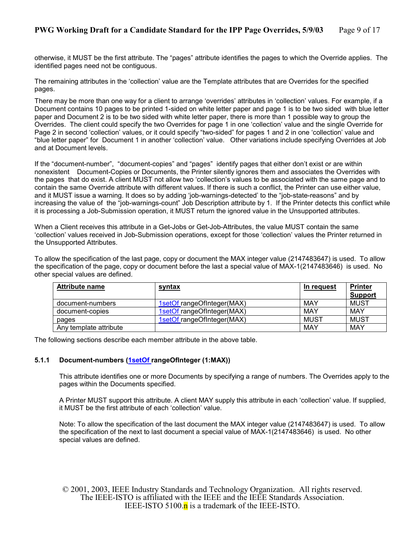<span id="page-8-0"></span>otherwise, it MUST be the first attribute. The "pages" attribute identifies the pages to which the Override applies. The identified pages need not be contiguous.

The remaining attributes in the 'collection' value are the Template attributes that are Overrides for the specified pages.

There may be more than one way for a client to arrange 'overrides' attributes in 'collection' values. For example, if a Document contains 10 pages to be printed 1-sided on white letter paper and page 1 is to be two sided with blue letter paper and Document 2 is to be two sided with white letter paper, there is more than 1 possible way to group the Overrides. The client could specify the two Overrides for page 1 in one 'collection' value and the single Override for Page 2 in second 'collection' values, or it could specify "two-sided" for pages 1 and 2 in one 'collection' value and "blue letter paper" for Document 1 in another 'collection' value. Other variations include specifying Overrides at Job and at Document levels.

If the "document-number", "document-copies" and "pages" identify pages that either don't exist or are within nonexistent Document-Copies or Documents, the Printer silently ignores them and associates the Overrides with the pages that do exist. A client MUST not allow two 'collection's values to be associated with the same page and to contain the same Override attribute with different values. If there is such a conflict, the Printer can use either value, and it MUST issue a warning. It does so by adding 'job-warnings-detected' to the "job-state-reasons" and by increasing the value of the "job-warnings-count" Job Description attribute by 1. If the Printer detects this conflict while it is processing a Job-Submission operation, it MUST return the ignored value in the Unsupported attributes.

When a Client receives this attribute in a Get-Jobs or Get-Job-Attributes, the value MUST contain the same 'collection' values received in Job-Submission operations, except for those 'collection' values the Printer returned in the Unsupported Attributes.

To allow the specification of the last page, copy or document the MAX integer value (2147483647) is used. To allow the specification of the page, copy or document before the last a special value of MAX-1(2147483646) is used. No other special values are defined.

| <b>Attribute name</b>  | syntax                     | In request  | <b>Printer</b><br>Support |
|------------------------|----------------------------|-------------|---------------------------|
| document-numbers       | 1setOf rangeOfInteger(MAX) | MAY         | <b>MUST</b>               |
| document-copies        | 1setOf rangeOfInteger(MAX) | MAY         | <b>MAY</b>                |
| pages                  | 1setOf rangeOfInteger(MAX) | <b>MUST</b> | <b>MUST</b>               |
| Any template attribute |                            | MAY         | MAY                       |

The following sections describe each member attribute in the above table.

### **5.1.1 Document-numbers (1setOf rangeOfInteger (1:MAX))**

This attribute identifies one or more Documents by specifying a range of numbers. The Overrides apply to the pages within the Documents specified.

A Printer MUST support this attribute. A client MAY supply this attribute in each 'collection' value. If supplied, it MUST be the first attribute of each 'collection' value.

Note: To allow the specification of the last document the MAX integer value (2147483647) is used. To allow the specification of the next to last document a special value of MAX-1(2147483646) is used. No other special values are defined.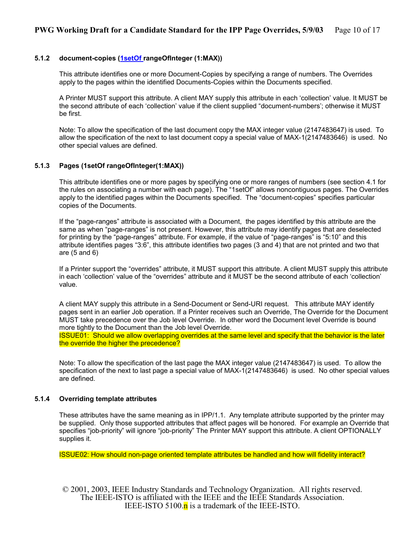### <span id="page-9-0"></span>**5.1.2 document-copies (1setOf rangeOfInteger (1:MAX))**

This attribute identifies one or more Document-Copies by specifying a range of numbers. The Overrides apply to the pages within the identified Documents-Copies within the Documents specified.

A Printer MUST support this attribute. A client MAY supply this attribute in each 'collection' value. It MUST be the second attribute of each 'collection' value if the client supplied "document-numbers'; otherwise it MUST be first.

Note: To allow the specification of the last document copy the MAX integer value (2147483647) is used. To allow the specification of the next to last document copy a special value of MAX-1(2147483646) is used. No other special values are defined.

### **5.1.3 Pages (1setOf rangeOfInteger(1:MAX))**

This attribute identifies one or more pages by specifying one or more ranges of numbers (see section [4.1](#page-6-0) for the rules on associating a number with each page). The "1setOf" allows noncontiguous pages. The Overrides apply to the identified pages within the Documents specified. The "document-copies" specifies particular copies of the Documents.

If the "page-ranges" attribute is associated with a Document, the pages identified by this attribute are the same as when "page-ranges" is not present. However, this attribute may identify pages that are deselected for printing by the "page-ranges" attribute. For example, if the value of "page-ranges" is "5:10" and this attribute identifies pages "3:6", this attribute identifies two pages (3 and 4) that are not printed and two that are (5 and 6)

If a Printer support the "overrides" attribute, it MUST support this attribute. A client MUST supply this attribute in each 'collection' value of the "overrides" attribute and it MUST be the second attribute of each 'collection' value.

A client MAY supply this attribute in a Send-Document or Send-URI request. This attribute MAY identify pages sent in an earlier Job operation. If a Printer receives such an Override, The Override for the Document MUST take precedence over the Job level Override. In other word the Document level Override is bound more tightly to the Document than the Job level Override.

ISSUE01: Should we allow overlapping overrides at the same level and specify that the behavior is the later the override the higher the precedence?

Note: To allow the specification of the last page the MAX integer value (2147483647) is used. To allow the specification of the next to last page a special value of MAX-1(2147483646) is used. No other special values are defined.

### **5.1.4 Overriding template attributes**

These attributes have the same meaning as in IPP/1.1. Any template attribute supported by the printer may be supplied. Only those supported attributes that affect pages will be honored. For example an Override that specifies "job-priority" will ignore "job-priority" The Printer MAY support this attribute. A client OPTIONALLY supplies it.

ISSUE02: How should non-page oriented template attributes be handled and how will fidelity interact?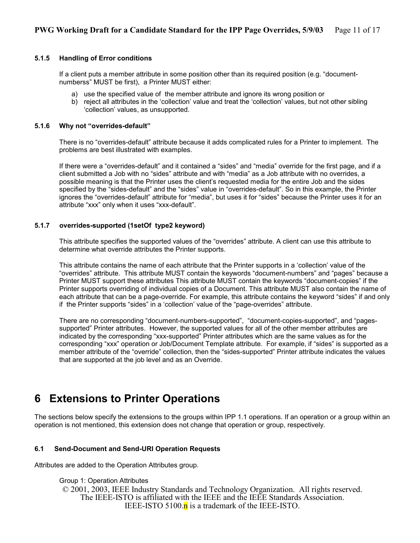### <span id="page-10-0"></span>**5.1.5 Handling of Error conditions**

If a client puts a member attribute in some position other than its required position (e.g. "documentnumberss" MUST be first), a Printer MUST either:

- a) use the specified value of the member attribute and ignore its wrong position or
- b) reject all attributes in the 'collection' value and treat the 'collection' values, but not other sibling 'collection' values, as unsupported.

### **5.1.6 Why not "overrides-default"**

There is no "overrides-default" attribute because it adds complicated rules for a Printer to implement. The problems are best illustrated with examples.

If there were a "overrides-default" and it contained a "sides" and "media" override for the first page, and if a client submitted a Job with no "sides" attribute and with "media" as a Job attribute with no overrides, a possible meaning is that the Printer uses the client's requested media for the entire Job and the sides specified by the "sides-default" and the "sides" value in "overrides-default". So in this example, the Printer ignores the "overrides-default" attribute for "media", but uses it for "sides" because the Printer uses it for an attribute "xxx" only when it uses "xxx-default".

### **5.1.7 overrides-supported (1setOf type2 keyword)**

This attribute specifies the supported values of the "overrides" attribute. A client can use this attribute to determine what override attributes the Printer supports.

This attribute contains the name of each attribute that the Printer supports in a 'collection' value of the "overrides" attribute. This attribute MUST contain the keywords "document-numbers" and "pages" because a Printer MUST support these attributes This attribute MUST contain the keywords "document-copies" if the Printer supports overriding of individual copies of a Document. This attribute MUST also contain the name of each attribute that can be a page-override. For example, this attribute contains the keyword "sides" if and only if the Printer supports "sides" in a 'collection' value of the "page-overrides" attribute.

There are no corresponding "document-numbers-supported", "document-copies-supported", and "pagessupported" Printer attributes. However, the supported values for all of the other member attributes are indicated by the corresponding "xxx-supported" Printer attributes which are the same values as for the corresponding "xxx" operation or Job/Document Template attribute. For example, if "sides" is supported as a member attribute of the "override" collection, then the "sides-supported" Printer attribute indicates the values that are supported at the job level and as an Override.

# **6 Extensions to Printer Operations**

The sections below specify the extensions to the groups within IPP 1.1 operations. If an operation or a group within an operation is not mentioned, this extension does not change that operation or group, respectively.

### **6.1 Send-Document and Send-URI Operation Requests**

Attributes are added to the Operation Attributes group.

Group 1: Operation Attributes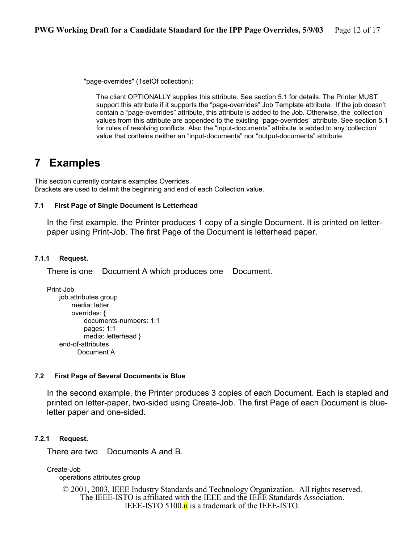<span id="page-11-0"></span>"page-overrides" (1setOf collection):

The client OPTIONALLY supplies this attribute. See section [5.1](#page-7-0) for details. The Printer MUST support this attribute if it supports the "page-overrides" Job Template attribute. If the job doesn't contain a "page-overrides" attribute, this attribute is added to the Job. Otherwise, the 'collection' values from this attribute are appended to the existing "page-overrides" attribute. See section [5.1](#page-7-0)  for rules of resolving conflicts. Also the "input-documents" attribute is added to any 'collection' value that contains neither an "input-documents" nor "output-documents" attribute.

# **7 Examples**

This section currently contains examples Overrides. Brackets are used to delimit the beginning and end of each Collection value.

### **7.1 First Page of Single Document is Letterhead**

In the first example, the Printer produces 1 copy of a single Document. It is printed on letterpaper using Print-Job. The first Page of the Document is letterhead paper.

### **7.1.1 Request.**

There is one Document A which produces one Document.

```
Print-Job 
    job attributes group 
        media: letter 
        overrides: { 
            documents-numbers: 1:1 
            pages: 1:1 
            media: letterhead }
    end-of-attributes 
           Document A
```
### **7.2 First Page of Several Documents is Blue**

In the second example, the Printer produces 3 copies of each Document. Each is stapled and printed on letter-paper, two-sided using Create-Job. The first Page of each Document is blueletter paper and one-sided.

### **7.2.1 Request.**

There are two Documents A and B.

Create-Job

operations attributes group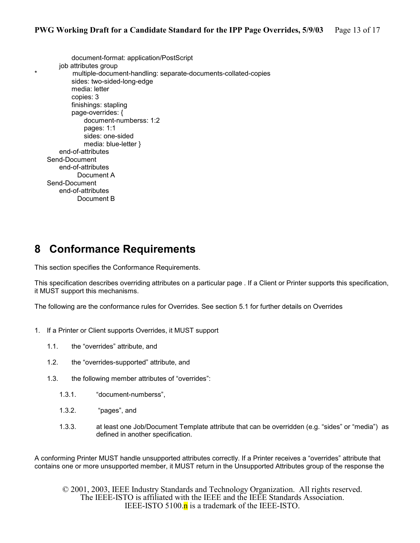<span id="page-12-0"></span>document-format: application/PostScript job attributes group multiple-document-handling: separate-documents-collated-copies sides: two-sided-long-edge media: letter copies: 3 finishings: stapling page-overrides: { document-numberss: 1:2 pages: 1:1 sides: one-sided media: blue-letter } end-of-attributes Send-Document end-of-attributes Document A Send-Document end-of-attributes Document B

# **8 Conformance Requirements**

This section specifies the Conformance Requirements.

This specification describes overriding attributes on a particular page . If a Client or Printer supports this specification, it MUST support this mechanisms.

The following are the conformance rules for Overrides. See section [5.1](#page-7-0) for further details on Overrides

- 1. If a Printer or Client supports Overrides, it MUST support
	- 1.1. the "overrides" attribute, and
	- 1.2. the "overrides-supported" attribute, and
	- 1.3. the following member attributes of "overrides":
		- 1.3.1. "document-numberss",
		- 1.3.2. "pages", and
		- 1.3.3. at least one Job/Document Template attribute that can be overridden (e.g. "sides" or "media") as defined in another specification.

A conforming Printer MUST handle unsupported attributes correctly. If a Printer receives a "overrides" attribute that contains one or more unsupported member, it MUST return in the Unsupported Attributes group of the response the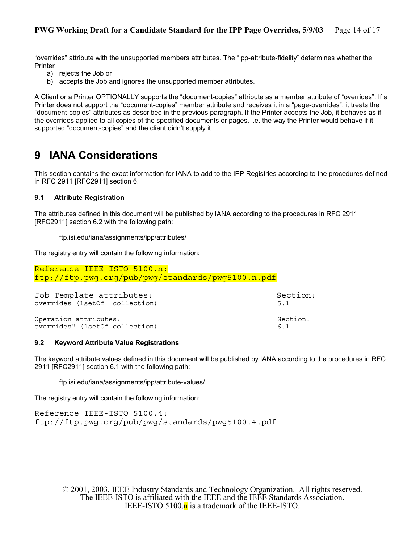<span id="page-13-0"></span>"overrides" attribute with the unsupported members attributes. The "ipp-attribute-fidelity" determines whether the **Printer** 

- a) rejects the Job or
- b) accepts the Job and ignores the unsupported member attributes.

A Client or a Printer OPTIONALLY supports the "document-copies" attribute as a member attribute of "overrides". If a Printer does not support the "document-copies" member attribute and receives it in a "page-overrides", it treats the "document-copies" attributes as described in the previous paragraph. If the Printer accepts the Job, it behaves as if the overrides applied to all copies of the specified documents or pages, i.e. the way the Printer would behave if it supported "document-copies" and the client didn't supply it.

## **9 IANA Considerations**

This section contains the exact information for IANA to add to the IPP Registries according to the procedures defined in RFC 2911 [RFC2911] section 6.

### **9.1 Attribute Registration**

The attributes defined in this document will be published by IANA according to the procedures in RFC 2911 [RFC2911] section 6.2 with the following path:

### ftp.isi.edu/iana/assignments/ipp/attributes/

The registry entry will contain the following information:

```
Reference IEEE-ISTO 5100.n: 
ftp://ftp.pwg.org/pub/pwg/standards/pwg5100.n.pdf
```

| Job Template attributes:       | Section: |
|--------------------------------|----------|
| overrides (1setOf collection)  | 5.1      |
| Operation attributes:          | Section: |
| overrides" (1setOf collection) | 61       |

### **9.2 Keyword Attribute Value Registrations**

The keyword attribute values defined in this document will be published by IANA according to the procedures in RFC 2911 [RFC2911] section 6.1 with the following path:

ftp.isi.edu/iana/assignments/ipp/attribute-values/

The registry entry will contain the following information:

Reference IEEE-ISTO 5100.4: ftp://ftp.pwg.org/pub/pwg/standards/pwg5100.4.pdf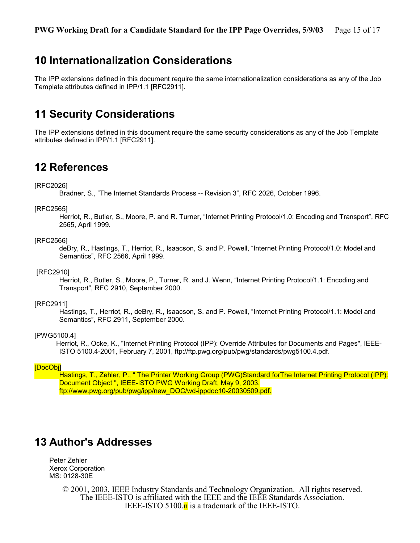# <span id="page-14-0"></span>**10 Internationalization Considerations**

The IPP extensions defined in this document require the same internationalization considerations as any of the Job Template attributes defined in IPP/1.1 [RFC2911].

# **11 Security Considerations**

The IPP extensions defined in this document require the same security considerations as any of the Job Template attributes defined in IPP/1.1 [RFC2911].

## **12 References**

### [RFC2026]

Bradner, S., "The Internet Standards Process -- Revision 3", RFC 2026, October 1996.

#### [RFC2565]

 Herriot, R., Butler, S., Moore, P. and R. Turner, "Internet Printing Protocol/1.0: Encoding and Transport", RFC 2565, April 1999.

### [RFC2566]

 deBry, R., Hastings, T., Herriot, R., Isaacson, S. and P. Powell, "Internet Printing Protocol/1.0: Model and Semantics", RFC 2566, April 1999.

#### [RFC2910]

 Herriot, R., Butler, S., Moore, P., Turner, R. and J. Wenn, "Internet Printing Protocol/1.1: Encoding and Transport", RFC 2910, September 2000.

#### [RFC2911]

 Hastings, T., Herriot, R., deBry, R., Isaacson, S. and P. Powell, "Internet Printing Protocol/1.1: Model and Semantics", RFC 2911, September 2000.

### [PWG5100.4]

 Herriot, R., Ocke, K., "Internet Printing Protocol (IPP): Override Attributes for Documents and Pages", IEEE-ISTO 5100.4-2001, February 7, 2001, ftp://ftp.pwg.org/pub/pwg/standards/pwg5100.4.pdf.

### [DocObj]

 Hastings, T., Zehler, P., " The Printer Working Group (PWG)Standard forThe Internet Printing Protocol (IPP): Document Object ", IEEE-ISTO PWG Working Draft, May 9, 2003, ftp://www.pwg.org/pub/pwg/ipp/new\_DOC/wd-ippdoc10-20030509.pdf.

### **13 Author's Addresses**

Peter Zehler Xerox Corporation MS: 0128-30E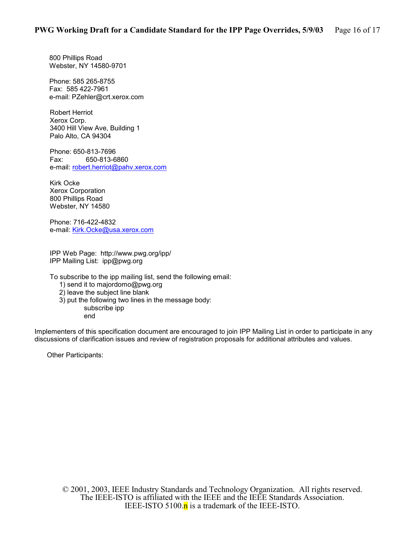800 Phillips Road Webster, NY 14580-9701

Phone: 585 265-8755 Fax: 585 422-7961 e-mail: PZehler@crt.xerox.com

Robert Herriot Xerox Corp. 3400 Hill View Ave, Building 1 Palo Alto, CA 94304

Phone: 650-813-7696 Fax: 650-813-6860 e-mail: [robert.herriot@pahv.xerox.com](mailto:robert.herriot@pahv.xerox.com)

Kirk Ocke Xerox Corporation 800 Phillips Road Webster, NY 14580

Phone: 716-422-4832 e-mail: [Kirk.Ocke@usa.xerox.com](mailto:hastings@cp10.es.xerox.com)

IPP Web Page: http://www.pwg.org/ipp/ IPP Mailing List: ipp@pwg.org

To subscribe to the ipp mailing list, send the following email:

- 1) send it to majordomo@pwg.org
- 2) leave the subject line blank
- 3) put the following two lines in the message body:

subscribe ipp end

Implementers of this specification document are encouraged to join IPP Mailing List in order to participate in any discussions of clarification issues and review of registration proposals for additional attributes and values.

Other Participants: